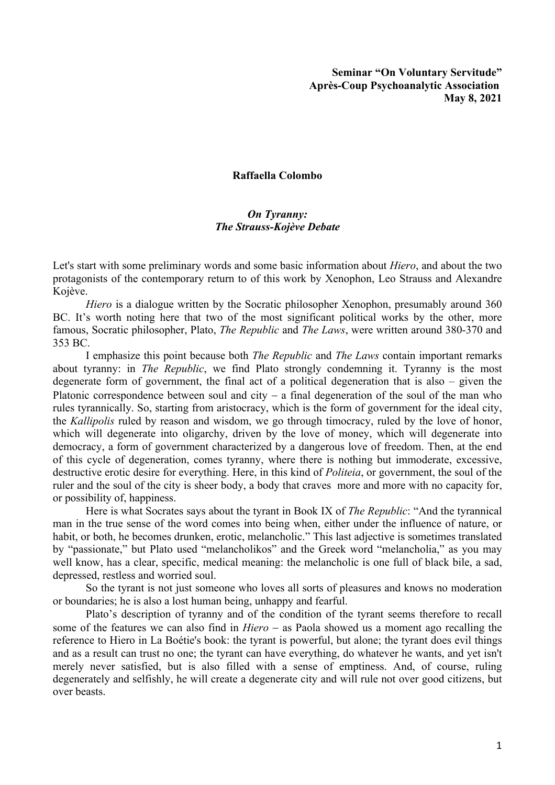**Seminar "On Voluntary Servitude" Après-Coup Psychoanalytic Association May 8, 2021**

## **Raffaella Colombo**

## *On Tyranny: The Strauss-Kojève Debate*

Let's start with some preliminary words and some basic information about *Hiero*, and about the two protagonists of the contemporary return to of this work by Xenophon, Leo Strauss and Alexandre Kojève.

*Hiero* is a dialogue written by the Socratic philosopher Xenophon, presumably around 360 BC. It's worth noting here that two of the most significant political works by the other, more famous, Socratic philosopher, Plato, *The Republic* and *The Laws*, were written around 380-370 and 353 BC.

I emphasize this point because both *The Republic* and *The Laws* contain important remarks about tyranny: in *The Republic*, we find Plato strongly condemning it. Tyranny is the most degenerate form of government, the final act of a political degeneration that is also – given the Platonic correspondence between soul and city  $-$  a final degeneration of the soul of the man who rules tyrannically. So, starting from aristocracy, which is the form of government for the ideal city, the *Kallipolis* ruled by reason and wisdom, we go through timocracy, ruled by the love of honor, which will degenerate into oligarchy, driven by the love of money, which will degenerate into democracy, a form of government characterized by a dangerous love of freedom. Then, at the end of this cycle of degeneration, comes tyranny, where there is nothing but immoderate, excessive, destructive erotic desire for everything. Here, in this kind of *Politeia*, or government, the soul of the ruler and the soul of the city is sheer body, a body that craves more and more with no capacity for, or possibility of, happiness.

Here is what Socrates says about the tyrant in Book IX of *The Republic*: "And the tyrannical man in the true sense of the word comes into being when, either under the influence of nature, or habit, or both, he becomes drunken, erotic, melancholic." This last adjective is sometimes translated by "passionate," but Plato used "melancholikos" and the Greek word "melancholia," as you may well know, has a clear, specific, medical meaning: the melancholic is one full of black bile, a sad, depressed, restless and worried soul.

So the tyrant is not just someone who loves all sorts of pleasures and knows no moderation or boundaries; he is also a lost human being, unhappy and fearful.

Plato's description of tyranny and of the condition of the tyrant seems therefore to recall some of the features we can also find in *Hiero* - as Paola showed us a moment ago recalling the reference to Hiero in La Boétie's book: the tyrant is powerful, but alone; the tyrant does evil things and as a result can trust no one; the tyrant can have everything, do whatever he wants, and yet isn't merely never satisfied, but is also filled with a sense of emptiness. And, of course, ruling degenerately and selfishly, he will create a degenerate city and will rule not over good citizens, but over beasts.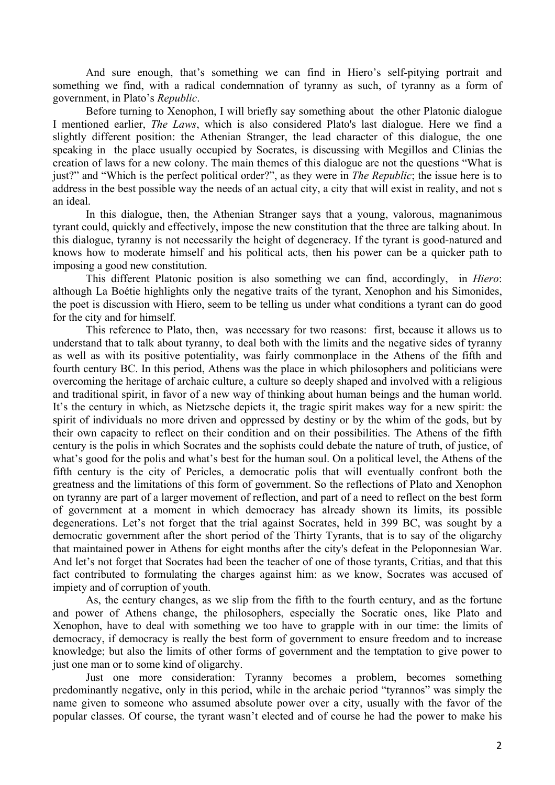And sure enough, that's something we can find in Hiero's self-pitying portrait and something we find, with a radical condemnation of tyranny as such, of tyranny as a form of government, in Plato's *Republic*.

Before turning to Xenophon, I will briefly say something about the other Platonic dialogue I mentioned earlier, *The Laws*, which is also considered Plato's last dialogue. Here we find a slightly different position: the Athenian Stranger, the lead character of this dialogue, the one speaking in the place usually occupied by Socrates, is discussing with Megillos and Clinias the creation of laws for a new colony. The main themes of this dialogue are not the questions "What is just?" and "Which is the perfect political order?", as they were in *The Republic*; the issue here is to address in the best possible way the needs of an actual city, a city that will exist in reality, and not s an ideal.

In this dialogue, then, the Athenian Stranger says that a young, valorous, magnanimous tyrant could, quickly and effectively, impose the new constitution that the three are talking about. In this dialogue, tyranny is not necessarily the height of degeneracy. If the tyrant is good-natured and knows how to moderate himself and his political acts, then his power can be a quicker path to imposing a good new constitution.

This different Platonic position is also something we can find, accordingly, in *Hiero*: although La Boétie highlights only the negative traits of the tyrant, Xenophon and his Simonides, the poet is discussion with Hiero, seem to be telling us under what conditions a tyrant can do good for the city and for himself.

This reference to Plato, then, was necessary for two reasons: first, because it allows us to understand that to talk about tyranny, to deal both with the limits and the negative sides of tyranny as well as with its positive potentiality, was fairly commonplace in the Athens of the fifth and fourth century BC. In this period, Athens was the place in which philosophers and politicians were overcoming the heritage of archaic culture, a culture so deeply shaped and involved with a religious and traditional spirit, in favor of a new way of thinking about human beings and the human world. It's the century in which, as Nietzsche depicts it, the tragic spirit makes way for a new spirit: the spirit of individuals no more driven and oppressed by destiny or by the whim of the gods, but by their own capacity to reflect on their condition and on their possibilities. The Athens of the fifth century is the polis in which Socrates and the sophists could debate the nature of truth, of justice, of what's good for the polis and what's best for the human soul. On a political level, the Athens of the fifth century is the city of Pericles, a democratic polis that will eventually confront both the greatness and the limitations of this form of government. So the reflections of Plato and Xenophon on tyranny are part of a larger movement of reflection, and part of a need to reflect on the best form of government at a moment in which democracy has already shown its limits, its possible degenerations. Let's not forget that the trial against Socrates, held in 399 BC, was sought by a democratic government after the short period of the Thirty Tyrants, that is to say of the oligarchy that maintained power in Athens for eight months after the city's defeat in the Peloponnesian War. And let's not forget that Socrates had been the teacher of one of those tyrants, Critias, and that this fact contributed to formulating the charges against him: as we know, Socrates was accused of impiety and of corruption of youth.

As, the century changes, as we slip from the fifth to the fourth century, and as the fortune and power of Athens change, the philosophers, especially the Socratic ones, like Plato and Xenophon, have to deal with something we too have to grapple with in our time: the limits of democracy, if democracy is really the best form of government to ensure freedom and to increase knowledge; but also the limits of other forms of government and the temptation to give power to just one man or to some kind of oligarchy.

Just one more consideration: Tyranny becomes a problem, becomes something predominantly negative, only in this period, while in the archaic period "tyrannos" was simply the name given to someone who assumed absolute power over a city, usually with the favor of the popular classes. Of course, the tyrant wasn't elected and of course he had the power to make his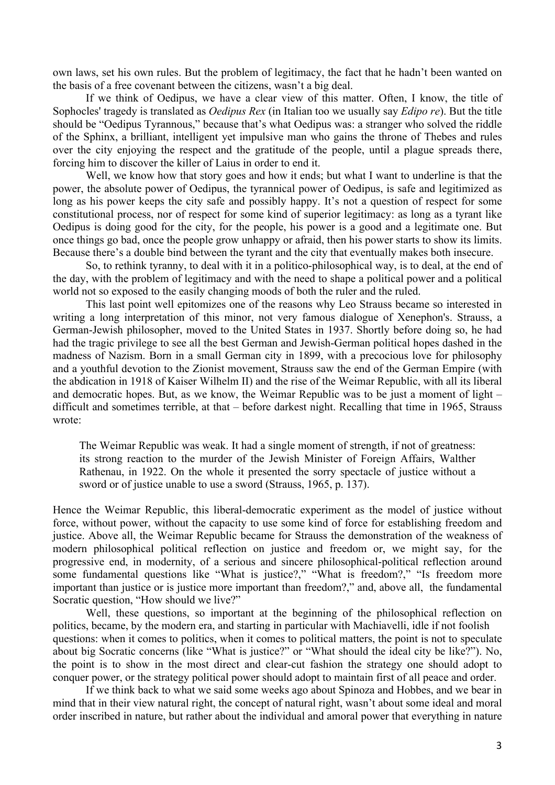own laws, set his own rules. But the problem of legitimacy, the fact that he hadn't been wanted on the basis of a free covenant between the citizens, wasn't a big deal.

If we think of Oedipus, we have a clear view of this matter. Often, I know, the title of Sophocles' tragedy is translated as *Oedipus Rex* (in Italian too we usually say *Edipo re*). But the title should be "Oedipus Tyrannous," because that's what Oedipus was: a stranger who solved the riddle of the Sphinx, a brilliant, intelligent yet impulsive man who gains the throne of Thebes and rules over the city enjoying the respect and the gratitude of the people, until a plague spreads there, forcing him to discover the killer of Laius in order to end it.

Well, we know how that story goes and how it ends; but what I want to underline is that the power, the absolute power of Oedipus, the tyrannical power of Oedipus, is safe and legitimized as long as his power keeps the city safe and possibly happy. It's not a question of respect for some constitutional process, nor of respect for some kind of superior legitimacy: as long as a tyrant like Oedipus is doing good for the city, for the people, his power is a good and a legitimate one. But once things go bad, once the people grow unhappy or afraid, then his power starts to show its limits. Because there's a double bind between the tyrant and the city that eventually makes both insecure.

So, to rethink tyranny, to deal with it in a politico-philosophical way, is to deal, at the end of the day, with the problem of legitimacy and with the need to shape a political power and a political world not so exposed to the easily changing moods of both the ruler and the ruled.

This last point well epitomizes one of the reasons why Leo Strauss became so interested in writing a long interpretation of this minor, not very famous dialogue of Xenephon's. Strauss, a German-Jewish philosopher, moved to the United States in 1937. Shortly before doing so, he had had the tragic privilege to see all the best German and Jewish-German political hopes dashed in the madness of Nazism. Born in a small German city in 1899, with a precocious love for philosophy and a youthful devotion to the Zionist movement, Strauss saw the end of the German Empire (with the abdication in 1918 of Kaiser Wilhelm II) and the rise of the Weimar Republic, with all its liberal and democratic hopes. But, as we know, the Weimar Republic was to be just a moment of light – difficult and sometimes terrible, at that – before darkest night. Recalling that time in 1965, Strauss wrote:

The Weimar Republic was weak. It had a single moment of strength, if not of greatness: its strong reaction to the murder of the Jewish Minister of Foreign Affairs, Walther Rathenau, in 1922. On the whole it presented the sorry spectacle of justice without a sword or of justice unable to use a sword (Strauss, 1965, p. 137).

Hence the Weimar Republic, this liberal-democratic experiment as the model of justice without force, without power, without the capacity to use some kind of force for establishing freedom and justice. Above all, the Weimar Republic became for Strauss the demonstration of the weakness of modern philosophical political reflection on justice and freedom or, we might say, for the progressive end, in modernity, of a serious and sincere philosophical-political reflection around some fundamental questions like "What is justice?," "What is freedom?," "Is freedom more important than justice or is justice more important than freedom?," and, above all, the fundamental Socratic question, "How should we live?"

Well, these questions, so important at the beginning of the philosophical reflection on politics, became, by the modern era, and starting in particular with Machiavelli, idle if not foolish questions: when it comes to politics, when it comes to political matters, the point is not to speculate about big Socratic concerns (like "What is justice?" or "What should the ideal city be like?"). No, the point is to show in the most direct and clear-cut fashion the strategy one should adopt to conquer power, or the strategy political power should adopt to maintain first of all peace and order.

If we think back to what we said some weeks ago about Spinoza and Hobbes, and we bear in mind that in their view natural right, the concept of natural right, wasn't about some ideal and moral order inscribed in nature, but rather about the individual and amoral power that everything in nature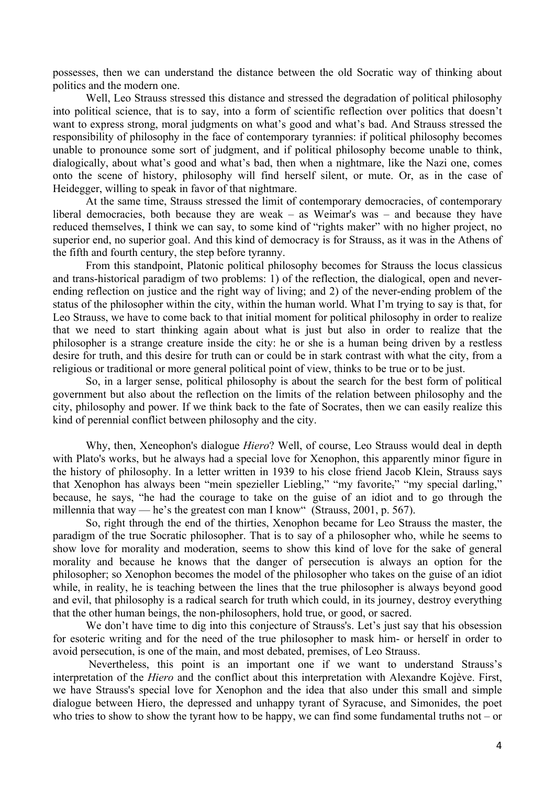possesses, then we can understand the distance between the old Socratic way of thinking about politics and the modern one.

Well, Leo Strauss stressed this distance and stressed the degradation of political philosophy into political science, that is to say, into a form of scientific reflection over politics that doesn't want to express strong, moral judgments on what's good and what's bad. And Strauss stressed the responsibility of philosophy in the face of contemporary tyrannies: if political philosophy becomes unable to pronounce some sort of judgment, and if political philosophy become unable to think, dialogically, about what's good and what's bad, then when a nightmare, like the Nazi one, comes onto the scene of history, philosophy will find herself silent, or mute. Or, as in the case of Heidegger, willing to speak in favor of that nightmare.

At the same time, Strauss stressed the limit of contemporary democracies, of contemporary liberal democracies, both because they are weak – as Weimar's was – and because they have reduced themselves, I think we can say, to some kind of "rights maker" with no higher project, no superior end, no superior goal. And this kind of democracy is for Strauss, as it was in the Athens of the fifth and fourth century, the step before tyranny.

From this standpoint, Platonic political philosophy becomes for Strauss the locus classicus and trans-historical paradigm of two problems: 1) of the reflection, the dialogical, open and neverending reflection on justice and the right way of living; and 2) of the never-ending problem of the status of the philosopher within the city, within the human world. What I'm trying to say is that, for Leo Strauss, we have to come back to that initial moment for political philosophy in order to realize that we need to start thinking again about what is just but also in order to realize that the philosopher is a strange creature inside the city: he or she is a human being driven by a restless desire for truth, and this desire for truth can or could be in stark contrast with what the city, from a religious or traditional or more general political point of view, thinks to be true or to be just.

So, in a larger sense, political philosophy is about the search for the best form of political government but also about the reflection on the limits of the relation between philosophy and the city, philosophy and power. If we think back to the fate of Socrates, then we can easily realize this kind of perennial conflict between philosophy and the city.

Why, then, Xeneophon's dialogue *Hiero*? Well, of course, Leo Strauss would deal in depth with Plato's works, but he always had a special love for Xenophon, this apparently minor figure in the history of philosophy. In a letter written in 1939 to his close friend Jacob Klein, Strauss says that Xenophon has always been "mein spezieller Liebling," "my favorite," "my special darling," because, he says, "he had the courage to take on the guise of an idiot and to go through the millennia that way — he's the greatest con man I know" (Strauss, 2001, p. 567).

So, right through the end of the thirties, Xenophon became for Leo Strauss the master, the paradigm of the true Socratic philosopher. That is to say of a philosopher who, while he seems to show love for morality and moderation, seems to show this kind of love for the sake of general morality and because he knows that the danger of persecution is always an option for the philosopher; so Xenophon becomes the model of the philosopher who takes on the guise of an idiot while, in reality, he is teaching between the lines that the true philosopher is always beyond good and evil, that philosophy is a radical search for truth which could, in its journey, destroy everything that the other human beings, the non-philosophers, hold true, or good, or sacred.

We don't have time to dig into this conjecture of Strauss's. Let's just say that his obsession for esoteric writing and for the need of the true philosopher to mask him- or herself in order to avoid persecution, is one of the main, and most debated, premises, of Leo Strauss.

Nevertheless, this point is an important one if we want to understand Strauss's interpretation of the *Hiero* and the conflict about this interpretation with Alexandre Kojève. First, we have Strauss's special love for Xenophon and the idea that also under this small and simple dialogue between Hiero, the depressed and unhappy tyrant of Syracuse, and Simonides, the poet who tries to show to show the tyrant how to be happy, we can find some fundamental truths not – or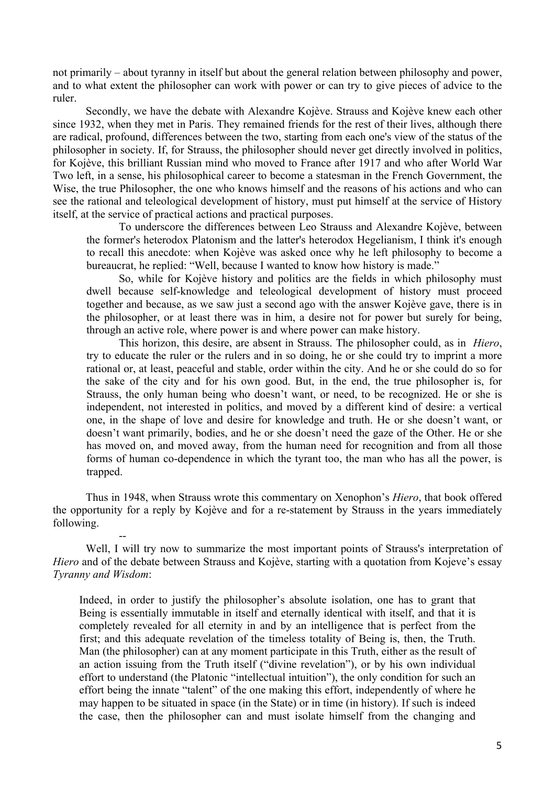not primarily – about tyranny in itself but about the general relation between philosophy and power, and to what extent the philosopher can work with power or can try to give pieces of advice to the ruler.

Secondly, we have the debate with Alexandre Kojève. Strauss and Kojève knew each other since 1932, when they met in Paris. They remained friends for the rest of their lives, although there are radical, profound, differences between the two, starting from each one's view of the status of the philosopher in society. If, for Strauss, the philosopher should never get directly involved in politics, for Kojève, this brilliant Russian mind who moved to France after 1917 and who after World War Two left, in a sense, his philosophical career to become a statesman in the French Government, the Wise, the true Philosopher, the one who knows himself and the reasons of his actions and who can see the rational and teleological development of history, must put himself at the service of History itself, at the service of practical actions and practical purposes.

To underscore the differences between Leo Strauss and Alexandre Kojève, between the former's heterodox Platonism and the latter's heterodox Hegelianism, I think it's enough to recall this anecdote: when Kojève was asked once why he left philosophy to become a bureaucrat, he replied: "Well, because I wanted to know how history is made."

So, while for Kojève history and politics are the fields in which philosophy must dwell because self-knowledge and teleological development of history must proceed together and because, as we saw just a second ago with the answer Kojève gave, there is in the philosopher, or at least there was in him, a desire not for power but surely for being, through an active role, where power is and where power can make history.

This horizon, this desire, are absent in Strauss. The philosopher could, as in *Hiero*, try to educate the ruler or the rulers and in so doing, he or she could try to imprint a more rational or, at least, peaceful and stable, order within the city. And he or she could do so for the sake of the city and for his own good. But, in the end, the true philosopher is, for Strauss, the only human being who doesn't want, or need, to be recognized. He or she is independent, not interested in politics, and moved by a different kind of desire: a vertical one, in the shape of love and desire for knowledge and truth. He or she doesn't want, or doesn't want primarily, bodies, and he or she doesn't need the gaze of the Other. He or she has moved on, and moved away, from the human need for recognition and from all those forms of human co-dependence in which the tyrant too, the man who has all the power, is trapped.

Thus in 1948, when Strauss wrote this commentary on Xenophon's *Hiero*, that book offered the opportunity for a reply by Kojève and for a re-statement by Strauss in the years immediately following.

--

Well, I will try now to summarize the most important points of Strauss's interpretation of *Hiero* and of the debate between Strauss and Kojève, starting with a quotation from Kojeve's essay *Tyranny and Wisdom*:

Indeed, in order to justify the philosopher's absolute isolation, one has to grant that Being is essentially immutable in itself and eternally identical with itself, and that it is completely revealed for all eternity in and by an intelligence that is perfect from the first; and this adequate revelation of the timeless totality of Being is, then, the Truth. Man (the philosopher) can at any moment participate in this Truth, either as the result of an action issuing from the Truth itself ("divine revelation"), or by his own individual effort to understand (the Platonic "intellectual intuition"), the only condition for such an effort being the innate "talent" of the one making this effort, independently of where he may happen to be situated in space (in the State) or in time (in history). If such is indeed the case, then the philosopher can and must isolate himself from the changing and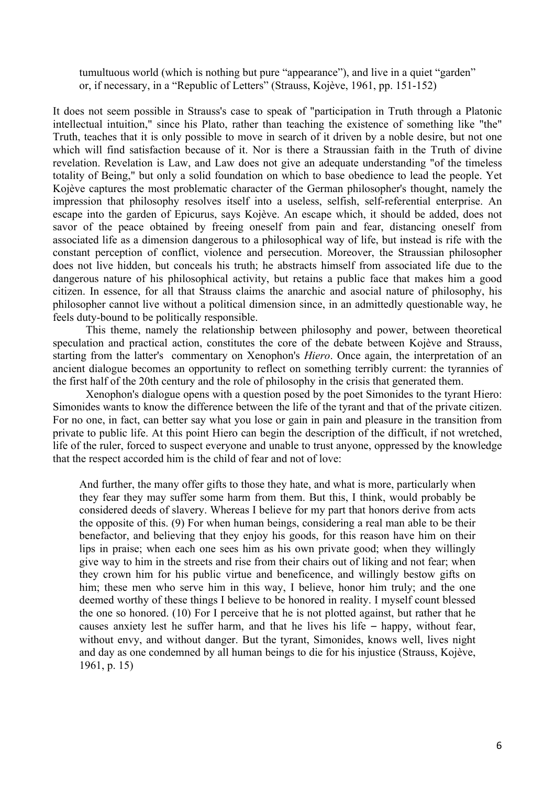tumultuous world (which is nothing but pure "appearance"), and live in a quiet "garden" or, if necessary, in a "Republic of Letters" (Strauss, Kojève, 1961, pp. 151-152)

It does not seem possible in Strauss's case to speak of "participation in Truth through a Platonic intellectual intuition," since his Plato, rather than teaching the existence of something like "the" Truth, teaches that it is only possible to move in search of it driven by a noble desire, but not one which will find satisfaction because of it. Nor is there a Straussian faith in the Truth of divine revelation. Revelation is Law, and Law does not give an adequate understanding "of the timeless totality of Being," but only a solid foundation on which to base obedience to lead the people. Yet Kojève captures the most problematic character of the German philosopher's thought, namely the impression that philosophy resolves itself into a useless, selfish, self-referential enterprise. An escape into the garden of Epicurus, says Kojève. An escape which, it should be added, does not savor of the peace obtained by freeing oneself from pain and fear, distancing oneself from associated life as a dimension dangerous to a philosophical way of life, but instead is rife with the constant perception of conflict, violence and persecution. Moreover, the Straussian philosopher does not live hidden, but conceals his truth; he abstracts himself from associated life due to the dangerous nature of his philosophical activity, but retains a public face that makes him a good citizen. In essence, for all that Strauss claims the anarchic and asocial nature of philosophy, his philosopher cannot live without a political dimension since, in an admittedly questionable way, he feels duty-bound to be politically responsible.

This theme, namely the relationship between philosophy and power, between theoretical speculation and practical action, constitutes the core of the debate between Kojève and Strauss, starting from the latter's commentary on Xenophon's *Hiero*. Once again, the interpretation of an ancient dialogue becomes an opportunity to reflect on something terribly current: the tyrannies of the first half of the 20th century and the role of philosophy in the crisis that generated them.

Xenophon's dialogue opens with a question posed by the poet Simonides to the tyrant Hiero: Simonides wants to know the difference between the life of the tyrant and that of the private citizen. For no one, in fact, can better say what you lose or gain in pain and pleasure in the transition from private to public life. At this point Hiero can begin the description of the difficult, if not wretched, life of the ruler, forced to suspect everyone and unable to trust anyone, oppressed by the knowledge that the respect accorded him is the child of fear and not of love:

And further, the many offer gifts to those they hate, and what is more, particularly when they fear they may suffer some harm from them. But this, I think, would probably be considered deeds of slavery. Whereas I believe for my part that honors derive from acts the opposite of this. (9) For when human beings, considering a real man able to be their benefactor, and believing that they enjoy his goods, for this reason have him on their lips in praise; when each one sees him as his own private good; when they willingly give way to him in the streets and rise from their chairs out of liking and not fear; when they crown him for his public virtue and beneficence, and willingly bestow gifts on him; these men who serve him in this way, I believe, honor him truly; and the one deemed worthy of these things I believe to be honored in reality. I myself count blessed the one so honored. (10) For I perceive that he is not plotted against, but rather that he causes anxiety lest he suffer harm, and that he lives his life – happy, without fear, without envy, and without danger. But the tyrant, Simonides, knows well, lives night and day as one condemned by all human beings to die for his injustice (Strauss, Kojève, 1961, p. 15)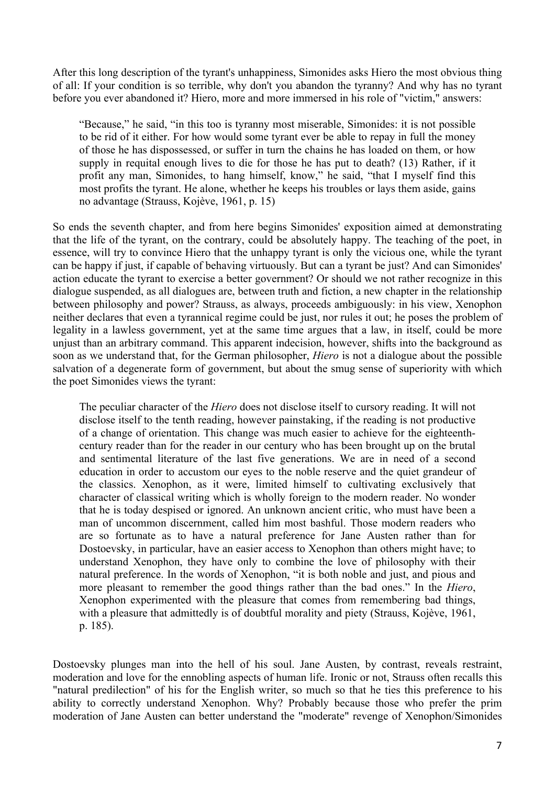After this long description of the tyrant's unhappiness, Simonides asks Hiero the most obvious thing of all: If your condition is so terrible, why don't you abandon the tyranny? And why has no tyrant before you ever abandoned it? Hiero, more and more immersed in his role of "victim," answers:

"Because," he said, "in this too is tyranny most miserable, Simonides: it is not possible to be rid of it either. For how would some tyrant ever be able to repay in full the money of those he has dispossessed, or suffer in turn the chains he has loaded on them, or how supply in requital enough lives to die for those he has put to death? (13) Rather, if it profit any man, Simonides, to hang himself, know," he said, "that I myself find this most profits the tyrant. He alone, whether he keeps his troubles or lays them aside, gains no advantage (Strauss, Kojève, 1961, p. 15)

So ends the seventh chapter, and from here begins Simonides' exposition aimed at demonstrating that the life of the tyrant, on the contrary, could be absolutely happy. The teaching of the poet, in essence, will try to convince Hiero that the unhappy tyrant is only the vicious one, while the tyrant can be happy if just, if capable of behaving virtuously. But can a tyrant be just? And can Simonides' action educate the tyrant to exercise a better government? Or should we not rather recognize in this dialogue suspended, as all dialogues are, between truth and fiction, a new chapter in the relationship between philosophy and power? Strauss, as always, proceeds ambiguously: in his view, Xenophon neither declares that even a tyrannical regime could be just, nor rules it out; he poses the problem of legality in a lawless government, yet at the same time argues that a law, in itself, could be more unjust than an arbitrary command. This apparent indecision, however, shifts into the background as soon as we understand that, for the German philosopher, *Hiero* is not a dialogue about the possible salvation of a degenerate form of government, but about the smug sense of superiority with which the poet Simonides views the tyrant:

The peculiar character of the *Hiero* does not disclose itself to cursory reading. It will not disclose itself to the tenth reading, however painstaking, if the reading is not productive of a change of orientation. This change was much easier to achieve for the eighteenthcentury reader than for the reader in our century who has been brought up on the brutal and sentimental literature of the last five generations. We are in need of a second education in order to accustom our eyes to the noble reserve and the quiet grandeur of the classics. Xenophon, as it were, limited himself to cultivating exclusively that character of classical writing which is wholly foreign to the modern reader. No wonder that he is today despised or ignored. An unknown ancient critic, who must have been a man of uncommon discernment, called him most bashful. Those modern readers who are so fortunate as to have a natural preference for Jane Austen rather than for Dostoevsky, in particular, have an easier access to Xenophon than others might have; to understand Xenophon, they have only to combine the love of philosophy with their natural preference. In the words of Xenophon, "it is both noble and just, and pious and more pleasant to remember the good things rather than the bad ones." In the *Hiero*, Xenophon experimented with the pleasure that comes from remembering bad things, with a pleasure that admittedly is of doubtful morality and piety (Strauss, Kojève, 1961, p. 185).

Dostoevsky plunges man into the hell of his soul. Jane Austen, by contrast, reveals restraint, moderation and love for the ennobling aspects of human life. Ironic or not, Strauss often recalls this "natural predilection" of his for the English writer, so much so that he ties this preference to his ability to correctly understand Xenophon. Why? Probably because those who prefer the prim moderation of Jane Austen can better understand the "moderate" revenge of Xenophon/Simonides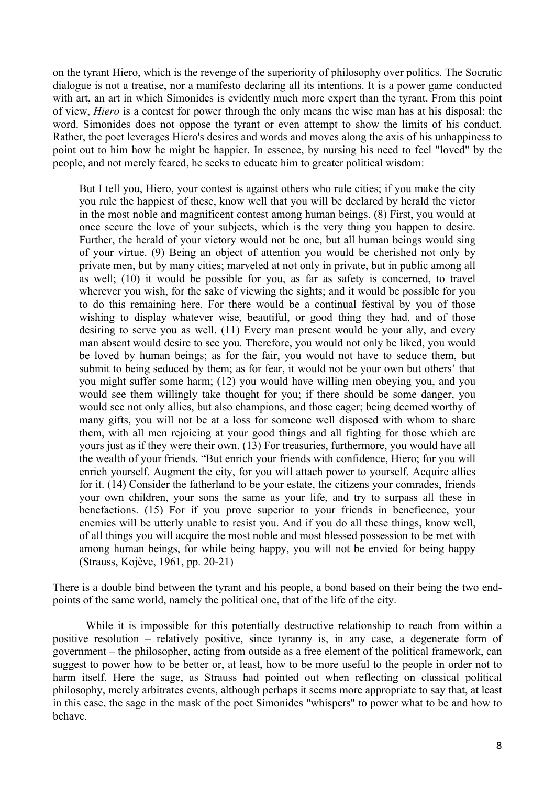on the tyrant Hiero, which is the revenge of the superiority of philosophy over politics. The Socratic dialogue is not a treatise, nor a manifesto declaring all its intentions. It is a power game conducted with art, an art in which Simonides is evidently much more expert than the tyrant. From this point of view, *Hiero* is a contest for power through the only means the wise man has at his disposal: the word. Simonides does not oppose the tyrant or even attempt to show the limits of his conduct. Rather, the poet leverages Hiero's desires and words and moves along the axis of his unhappiness to point out to him how he might be happier. In essence, by nursing his need to feel "loved" by the people, and not merely feared, he seeks to educate him to greater political wisdom:

But I tell you, Hiero, your contest is against others who rule cities; if you make the city you rule the happiest of these, know well that you will be declared by herald the victor in the most noble and magnificent contest among human beings. (8) First, you would at once secure the love of your subjects, which is the very thing you happen to desire. Further, the herald of your victory would not be one, but all human beings would sing of your virtue. (9) Being an object of attention you would be cherished not only by private men, but by many cities; marveled at not only in private, but in public among all as well; (10) it would be possible for you, as far as safety is concerned, to travel wherever you wish, for the sake of viewing the sights; and it would be possible for you to do this remaining here. For there would be a continual festival by you of those wishing to display whatever wise, beautiful, or good thing they had, and of those desiring to serve you as well. (11) Every man present would be your ally, and every man absent would desire to see you. Therefore, you would not only be liked, you would be loved by human beings; as for the fair, you would not have to seduce them, but submit to being seduced by them; as for fear, it would not be your own but others' that you might suffer some harm; (12) you would have willing men obeying you, and you would see them willingly take thought for you; if there should be some danger, you would see not only allies, but also champions, and those eager; being deemed worthy of many gifts, you will not be at a loss for someone well disposed with whom to share them, with all men rejoicing at your good things and all fighting for those which are yours just as if they were their own. (13) For treasuries, furthermore, you would have all the wealth of your friends. "But enrich your friends with confidence, Hiero; for you will enrich yourself. Augment the city, for you will attach power to yourself. Acquire allies for it. (14) Consider the fatherland to be your estate, the citizens your comrades, friends your own children, your sons the same as your life, and try to surpass all these in benefactions. (15) For if you prove superior to your friends in beneficence, your enemies will be utterly unable to resist you. And if you do all these things, know well, of all things you will acquire the most noble and most blessed possession to be met with among human beings, for while being happy, you will not be envied for being happy (Strauss, Kojève, 1961, pp. 20-21)

There is a double bind between the tyrant and his people, a bond based on their being the two endpoints of the same world, namely the political one, that of the life of the city.

While it is impossible for this potentially destructive relationship to reach from within a positive resolution – relatively positive, since tyranny is, in any case, a degenerate form of government – the philosopher, acting from outside as a free element of the political framework, can suggest to power how to be better or, at least, how to be more useful to the people in order not to harm itself. Here the sage, as Strauss had pointed out when reflecting on classical political philosophy, merely arbitrates events, although perhaps it seems more appropriate to say that, at least in this case, the sage in the mask of the poet Simonides "whispers" to power what to be and how to behave.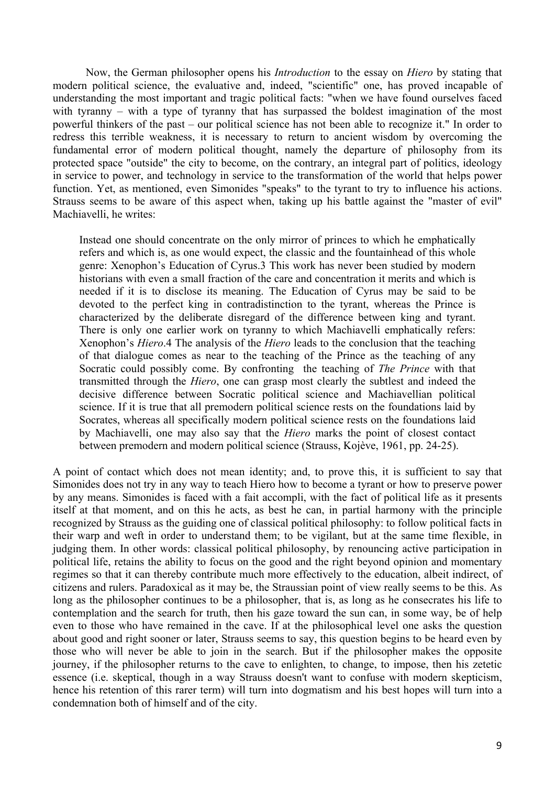Now, the German philosopher opens his *Introduction* to the essay on *Hiero* by stating that modern political science, the evaluative and, indeed, "scientific" one, has proved incapable of understanding the most important and tragic political facts: "when we have found ourselves faced with tyranny – with a type of tyranny that has surpassed the boldest imagination of the most powerful thinkers of the past – our political science has not been able to recognize it." In order to redress this terrible weakness, it is necessary to return to ancient wisdom by overcoming the fundamental error of modern political thought, namely the departure of philosophy from its protected space "outside" the city to become, on the contrary, an integral part of politics, ideology in service to power, and technology in service to the transformation of the world that helps power function. Yet, as mentioned, even Simonides "speaks" to the tyrant to try to influence his actions. Strauss seems to be aware of this aspect when, taking up his battle against the "master of evil" Machiavelli, he writes:

Instead one should concentrate on the only mirror of princes to which he emphatically refers and which is, as one would expect, the classic and the fountainhead of this whole genre: Xenophon's Education of Cyrus.3 This work has never been studied by modern historians with even a small fraction of the care and concentration it merits and which is needed if it is to disclose its meaning. The Education of Cyrus may be said to be devoted to the perfect king in contradistinction to the tyrant, whereas the Prince is characterized by the deliberate disregard of the difference between king and tyrant. There is only one earlier work on tyranny to which Machiavelli emphatically refers: Xenophon's *Hiero*.4 The analysis of the *Hiero* leads to the conclusion that the teaching of that dialogue comes as near to the teaching of the Prince as the teaching of any Socratic could possibly come. By confronting the teaching of *The Prince* with that transmitted through the *Hiero*, one can grasp most clearly the subtlest and indeed the decisive difference between Socratic political science and Machiavellian political science. If it is true that all premodern political science rests on the foundations laid by Socrates, whereas all specifically modern political science rests on the foundations laid by Machiavelli, one may also say that the *Hiero* marks the point of closest contact between premodern and modern political science (Strauss, Kojève, 1961, pp. 24-25).

A point of contact which does not mean identity; and, to prove this, it is sufficient to say that Simonides does not try in any way to teach Hiero how to become a tyrant or how to preserve power by any means. Simonides is faced with a fait accompli, with the fact of political life as it presents itself at that moment, and on this he acts, as best he can, in partial harmony with the principle recognized by Strauss as the guiding one of classical political philosophy: to follow political facts in their warp and weft in order to understand them; to be vigilant, but at the same time flexible, in judging them. In other words: classical political philosophy, by renouncing active participation in political life, retains the ability to focus on the good and the right beyond opinion and momentary regimes so that it can thereby contribute much more effectively to the education, albeit indirect, of citizens and rulers. Paradoxical as it may be, the Straussian point of view really seems to be this. As long as the philosopher continues to be a philosopher, that is, as long as he consecrates his life to contemplation and the search for truth, then his gaze toward the sun can, in some way, be of help even to those who have remained in the cave. If at the philosophical level one asks the question about good and right sooner or later, Strauss seems to say, this question begins to be heard even by those who will never be able to join in the search. But if the philosopher makes the opposite journey, if the philosopher returns to the cave to enlighten, to change, to impose, then his zetetic essence (i.e. skeptical, though in a way Strauss doesn't want to confuse with modern skepticism, hence his retention of this rarer term) will turn into dogmatism and his best hopes will turn into a condemnation both of himself and of the city.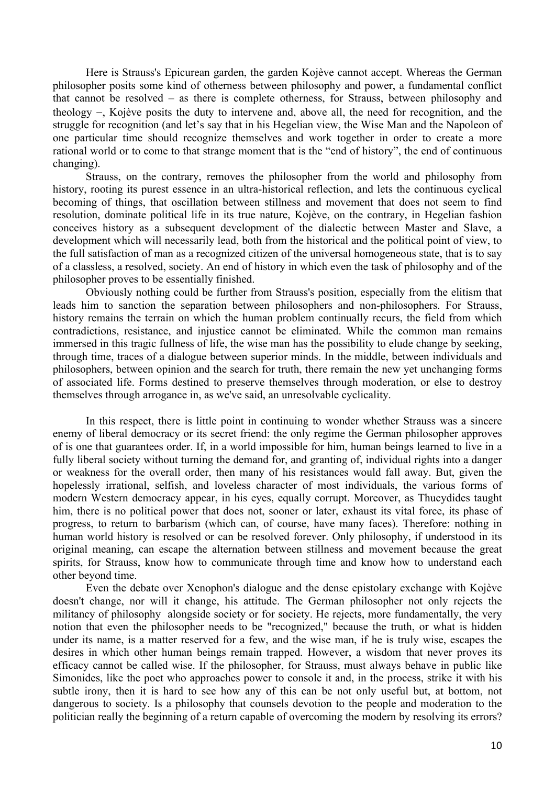Here is Strauss's Epicurean garden, the garden Kojève cannot accept. Whereas the German philosopher posits some kind of otherness between philosophy and power, a fundamental conflict that cannot be resolved – as there is complete otherness, for Strauss, between philosophy and theology -, Kojève posits the duty to intervene and, above all, the need for recognition, and the struggle for recognition (and let's say that in his Hegelian view, the Wise Man and the Napoleon of one particular time should recognize themselves and work together in order to create a more rational world or to come to that strange moment that is the "end of history", the end of continuous changing).

Strauss, on the contrary, removes the philosopher from the world and philosophy from history, rooting its purest essence in an ultra-historical reflection, and lets the continuous cyclical becoming of things, that oscillation between stillness and movement that does not seem to find resolution, dominate political life in its true nature, Kojève, on the contrary, in Hegelian fashion conceives history as a subsequent development of the dialectic between Master and Slave, a development which will necessarily lead, both from the historical and the political point of view, to the full satisfaction of man as a recognized citizen of the universal homogeneous state, that is to say of a classless, a resolved, society. An end of history in which even the task of philosophy and of the philosopher proves to be essentially finished.

Obviously nothing could be further from Strauss's position, especially from the elitism that leads him to sanction the separation between philosophers and non-philosophers. For Strauss, history remains the terrain on which the human problem continually recurs, the field from which contradictions, resistance, and injustice cannot be eliminated. While the common man remains immersed in this tragic fullness of life, the wise man has the possibility to elude change by seeking, through time, traces of a dialogue between superior minds. In the middle, between individuals and philosophers, between opinion and the search for truth, there remain the new yet unchanging forms of associated life. Forms destined to preserve themselves through moderation, or else to destroy themselves through arrogance in, as we've said, an unresolvable cyclicality.

In this respect, there is little point in continuing to wonder whether Strauss was a sincere enemy of liberal democracy or its secret friend: the only regime the German philosopher approves of is one that guarantees order. If, in a world impossible for him, human beings learned to live in a fully liberal society without turning the demand for, and granting of, individual rights into a danger or weakness for the overall order, then many of his resistances would fall away. But, given the hopelessly irrational, selfish, and loveless character of most individuals, the various forms of modern Western democracy appear, in his eyes, equally corrupt. Moreover, as Thucydides taught him, there is no political power that does not, sooner or later, exhaust its vital force, its phase of progress, to return to barbarism (which can, of course, have many faces). Therefore: nothing in human world history is resolved or can be resolved forever. Only philosophy, if understood in its original meaning, can escape the alternation between stillness and movement because the great spirits, for Strauss, know how to communicate through time and know how to understand each other beyond time.

Even the debate over Xenophon's dialogue and the dense epistolary exchange with Kojève doesn't change, nor will it change, his attitude. The German philosopher not only rejects the militancy of philosophy alongside society or for society. He rejects, more fundamentally, the very notion that even the philosopher needs to be "recognized," because the truth, or what is hidden under its name, is a matter reserved for a few, and the wise man, if he is truly wise, escapes the desires in which other human beings remain trapped. However, a wisdom that never proves its efficacy cannot be called wise. If the philosopher, for Strauss, must always behave in public like Simonides, like the poet who approaches power to console it and, in the process, strike it with his subtle irony, then it is hard to see how any of this can be not only useful but, at bottom, not dangerous to society. Is a philosophy that counsels devotion to the people and moderation to the politician really the beginning of a return capable of overcoming the modern by resolving its errors?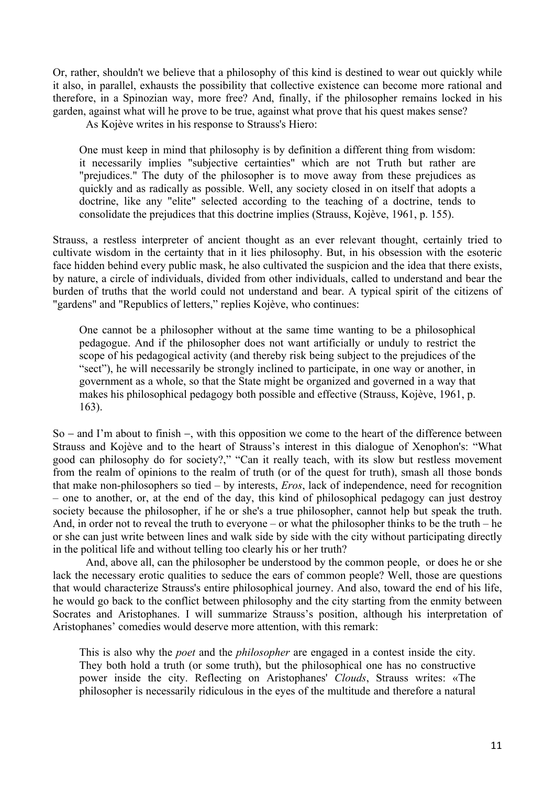Or, rather, shouldn't we believe that a philosophy of this kind is destined to wear out quickly while it also, in parallel, exhausts the possibility that collective existence can become more rational and therefore, in a Spinozian way, more free? And, finally, if the philosopher remains locked in his garden, against what will he prove to be true, against what prove that his quest makes sense?

As Kojève writes in his response to Strauss's Hiero:

One must keep in mind that philosophy is by definition a different thing from wisdom: it necessarily implies "subjective certainties" which are not Truth but rather are "prejudices." The duty of the philosopher is to move away from these prejudices as quickly and as radically as possible. Well, any society closed in on itself that adopts a doctrine, like any "elite" selected according to the teaching of a doctrine, tends to consolidate the prejudices that this doctrine implies (Strauss, Kojève, 1961, p. 155).

Strauss, a restless interpreter of ancient thought as an ever relevant thought, certainly tried to cultivate wisdom in the certainty that in it lies philosophy. But, in his obsession with the esoteric face hidden behind every public mask, he also cultivated the suspicion and the idea that there exists, by nature, a circle of individuals, divided from other individuals, called to understand and bear the burden of truths that the world could not understand and bear. A typical spirit of the citizens of "gardens" and "Republics of letters," replies Kojève, who continues:

One cannot be a philosopher without at the same time wanting to be a philosophical pedagogue. And if the philosopher does not want artificially or unduly to restrict the scope of his pedagogical activity (and thereby risk being subject to the prejudices of the "sect"), he will necessarily be strongly inclined to participate, in one way or another, in government as a whole, so that the State might be organized and governed in a way that makes his philosophical pedagogy both possible and effective (Strauss, Kojève, 1961, p. 163).

 $So - and I'm about to finish -, with this opposition we come to the heart of the difference between$ Strauss and Kojève and to the heart of Strauss's interest in this dialogue of Xenophon's: "What good can philosophy do for society?," "Can it really teach, with its slow but restless movement from the realm of opinions to the realm of truth (or of the quest for truth), smash all those bonds that make non-philosophers so tied – by interests, *Eros*, lack of independence, need for recognition – one to another, or, at the end of the day, this kind of philosophical pedagogy can just destroy society because the philosopher, if he or she's a true philosopher, cannot help but speak the truth. And, in order not to reveal the truth to everyone – or what the philosopher thinks to be the truth – he or she can just write between lines and walk side by side with the city without participating directly in the political life and without telling too clearly his or her truth?

And, above all, can the philosopher be understood by the common people, or does he or she lack the necessary erotic qualities to seduce the ears of common people? Well, those are questions that would characterize Strauss's entire philosophical journey. And also, toward the end of his life, he would go back to the conflict between philosophy and the city starting from the enmity between Socrates and Aristophanes. I will summarize Strauss's position, although his interpretation of Aristophanes' comedies would deserve more attention, with this remark:

This is also why the *poet* and the *philosopher* are engaged in a contest inside the city. They both hold a truth (or some truth), but the philosophical one has no constructive power inside the city. Reflecting on Aristophanes' *Clouds*, Strauss writes: «The philosopher is necessarily ridiculous in the eyes of the multitude and therefore a natural